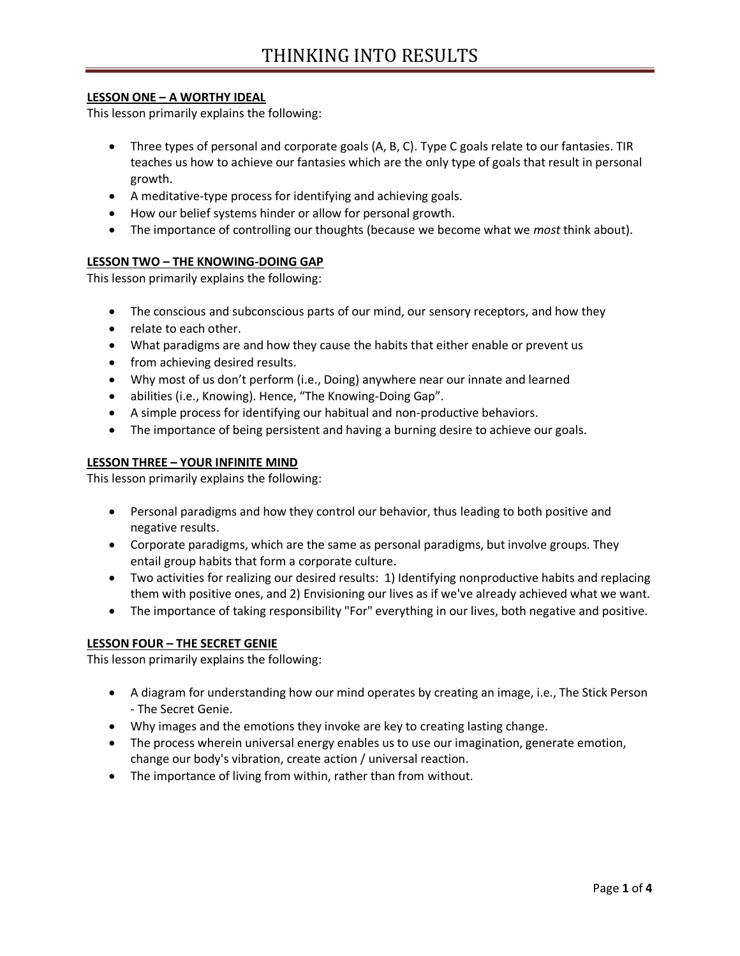## **LESSON ONE – A WORTHY IDEAL**

This lesson primarily explains the following:

- Three types of personal and corporate goals (A, B, C). Type C goals relate to our fantasies. TIR teaches us how to achieve our fantasies which are the only type of goals that result in personal growth.
- A meditative-type process for identifying and achieving goals.
- How our belief systems hinder or allow for personal growth.
- The importance of controlling our thoughts (because we become what we *most* think about).

## **LESSON TWO – THE KNOWING-DOING GAP**

This lesson primarily explains the following:

- The conscious and subconscious parts of our mind, our sensory receptors, and how they
- relate to each other.
- What paradigms are and how they cause the habits that either enable or prevent us
- from achieving desired results.
- Why most of us don't perform (i.e., Doing) anywhere near our innate and learned
- abilities (i.e., Knowing). Hence, "The Knowing-Doing Gap".
- A simple process for identifying our habitual and non-productive behaviors.
- The importance of being persistent and having a burning desire to achieve our goals.

#### **LESSON THREE – YOUR INFINITE MIND**

This lesson primarily explains the following:

- Personal paradigms and how they control our behavior, thus leading to both positive and negative results.
- Corporate paradigms, which are the same as personal paradigms, but involve groups. They entail group habits that form a corporate culture.
- Two activities for realizing our desired results: 1) Identifying nonproductive habits and replacing them with positive ones, and 2) Envisioning our lives as if we've already achieved what we want.
- The importance of taking responsibility "For" everything in our lives, both negative and positive.

### **LESSON FOUR – THE SECRET GENIE**

This lesson primarily explains the following:

- A diagram for understanding how our mind operates by creating an image, i.e., The Stick Person - The Secret Genie.
- Why images and the emotions they invoke are key to creating lasting change.
- The process wherein universal energy enables us to use our imagination, generate emotion, change our body's vibration, create action / universal reaction.
- The importance of living from within, rather than from without.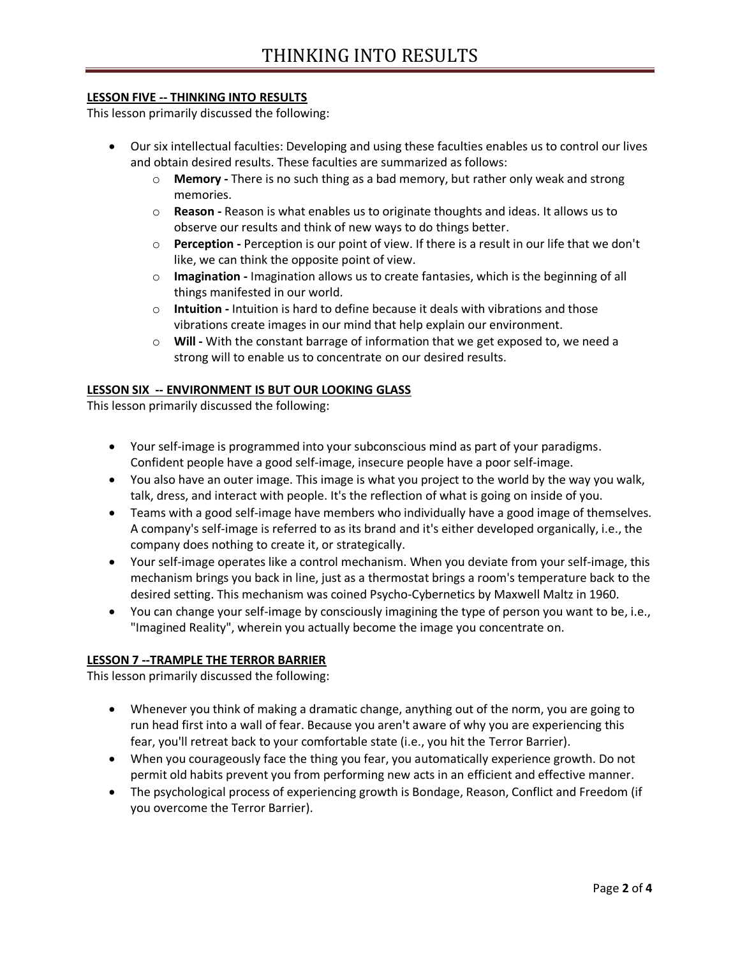## **LESSON FIVE -- THINKING INTO RESULTS**

This lesson primarily discussed the following:

- Our six intellectual faculties: Developing and using these faculties enables us to control our lives and obtain desired results. These faculties are summarized as follows:
	- o **Memory -** There is no such thing as a bad memory, but rather only weak and strong memories.
	- o **Reason -** Reason is what enables us to originate thoughts and ideas. It allows us to observe our results and think of new ways to do things better.
	- o **Perception -** Perception is our point of view. If there is a result in our life that we don't like, we can think the opposite point of view.
	- o **Imagination -** Imagination allows us to create fantasies, which is the beginning of all things manifested in our world.
	- o **Intuition -** Intuition is hard to define because it deals with vibrations and those vibrations create images in our mind that help explain our environment.
	- o **Will -** With the constant barrage of information that we get exposed to, we need a strong will to enable us to concentrate on our desired results.

### **LESSON SIX -- ENVIRONMENT IS BUT OUR LOOKING GLASS**

This lesson primarily discussed the following:

- Your self-image is programmed into your subconscious mind as part of your paradigms. Confident people have a good self-image, insecure people have a poor self-image.
- You also have an outer image. This image is what you project to the world by the way you walk, talk, dress, and interact with people. It's the reflection of what is going on inside of you.
- Teams with a good self-image have members who individually have a good image of themselves. A company's self-image is referred to as its brand and it's either developed organically, i.e., the company does nothing to create it, or strategically.
- Your self-image operates like a control mechanism. When you deviate from your self-image, this mechanism brings you back in line, just as a thermostat brings a room's temperature back to the desired setting. This mechanism was coined Psycho-Cybernetics by Maxwell Maltz in 1960.
- You can change your self-image by consciously imagining the type of person you want to be, i.e., "Imagined Reality", wherein you actually become the image you concentrate on.

### **LESSON 7 --TRAMPLE THE TERROR BARRIER**

This lesson primarily discussed the following:

- Whenever you think of making a dramatic change, anything out of the norm, you are going to run head first into a wall of fear. Because you aren't aware of why you are experiencing this fear, you'll retreat back to your comfortable state (i.e., you hit the Terror Barrier).
- When you courageously face the thing you fear, you automatically experience growth. Do not permit old habits prevent you from performing new acts in an efficient and effective manner.
- The psychological process of experiencing growth is Bondage, Reason, Conflict and Freedom (if you overcome the Terror Barrier).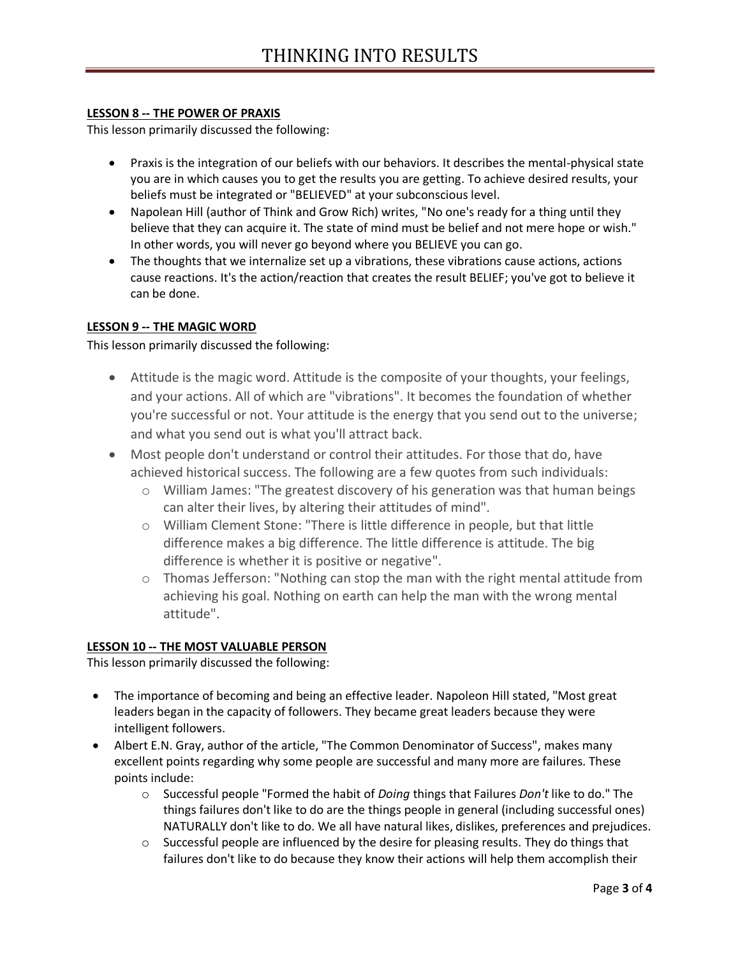# **LESSON 8 -- THE POWER OF PRAXIS**

This lesson primarily discussed the following:

- Praxis is the integration of our beliefs with our behaviors. It describes the mental-physical state you are in which causes you to get the results you are getting. To achieve desired results, your beliefs must be integrated or "BELIEVED" at your subconscious level.
- Napolean Hill (author of Think and Grow Rich) writes, "No one's ready for a thing until they believe that they can acquire it. The state of mind must be belief and not mere hope or wish." In other words, you will never go beyond where you BELIEVE you can go.
- The thoughts that we internalize set up a vibrations, these vibrations cause actions, actions cause reactions. It's the action/reaction that creates the result BELIEF; you've got to believe it can be done.

### **LESSON 9 -- THE MAGIC WORD**

This lesson primarily discussed the following:

- Attitude is the magic word. Attitude is the composite of your thoughts, your feelings, and your actions. All of which are "vibrations". It becomes the foundation of whether you're successful or not. Your attitude is the energy that you send out to the universe; and what you send out is what you'll attract back.
- Most people don't understand or control their attitudes. For those that do, have achieved historical success. The following are a few quotes from such individuals:
	- $\circ$  William James: "The greatest discovery of his generation was that human beings can alter their lives, by altering their attitudes of mind".
	- o William Clement Stone: "There is little difference in people, but that little difference makes a big difference. The little difference is attitude. The big difference is whether it is positive or negative".
	- $\circ$  Thomas Jefferson: "Nothing can stop the man with the right mental attitude from achieving his goal. Nothing on earth can help the man with the wrong mental attitude".

# **LESSON 10 -- THE MOST VALUABLE PERSON**

This lesson primarily discussed the following:

- The importance of becoming and being an effective leader. Napoleon Hill stated, "Most great leaders began in the capacity of followers. They became great leaders because they were intelligent followers.
- Albert E.N. Gray, author of the article, "The Common Denominator of Success", makes many excellent points regarding why some people are successful and many more are failures. These points include:
	- o Successful people "Formed the habit of *Doing* things that Failures *Don't* like to do." The things failures don't like to do are the things people in general (including successful ones) NATURALLY don't like to do. We all have natural likes, dislikes, preferences and prejudices.
	- $\circ$  Successful people are influenced by the desire for pleasing results. They do things that failures don't like to do because they know their actions will help them accomplish their